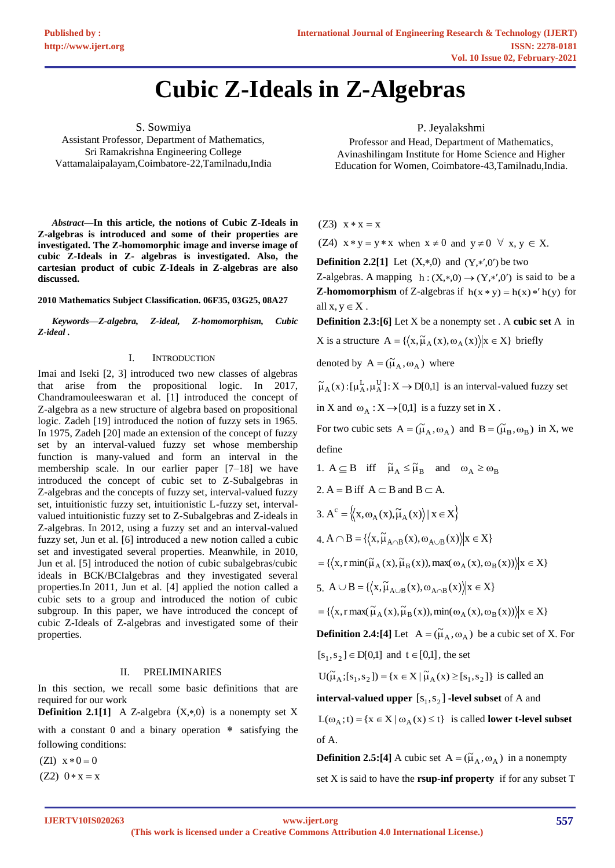# **Cubic Z-Ideals in Z-Algebras**

S. Sowmiya Assistant Professor, Department of Mathematics, Sri Ramakrishna Engineering College Vattamalaipalayam,Coimbatore-22,Tamilnadu,India

*Abstract***—In this article, the notions of Cubic Z-Ideals in Z-algebras is introduced and some of their properties are investigated. The Z-homomorphic image and inverse image of cubic Z-Ideals in Z- algebras is investigated. Also, the cartesian product of cubic Z-Ideals in Z-algebras are also discussed.**

**2010 Mathematics Subject Classification. 06F35, 03G25, 08A27**

*Keywords—Z-algebra, Z-ideal, Z-homomorphism, Cubic Z-ideal .*

#### I. INTRODUCTION

Imai and Iseki [2, 3] introduced two new classes of algebras that arise from the propositional logic. In 2017, Chandramouleeswaran et al. [1] introduced the concept of Z-algebra as a new structure of algebra based on propositional logic. Zadeh [19] introduced the notion of fuzzy sets in 1965. In 1975, Zadeh [20] made an extension of the concept of fuzzy set by an interval-valued fuzzy set whose membership function is many-valued and form an interval in the membership scale. In our earlier paper [7–18] we have introduced the concept of cubic set to Z-Subalgebras in Z-algebras and the concepts of fuzzy set, interval-valued fuzzy set, intuitionistic fuzzy set, intuitionistic L-fuzzy set, intervalvalued intuitionistic fuzzy set to Z-Subalgebras and Z-ideals in Z-algebras. In 2012, using a fuzzy set and an interval-valued fuzzy set, Jun et al. [6] introduced a new notion called a cubic set and investigated several properties. Meanwhile, in 2010, Jun et al. [5] introduced the notion of cubic subalgebras/cubic ideals in BCK/BCIalgebras and they investigated several properties.In 2011, Jun et al. [4] applied the notion called a cubic sets to a group and introduced the notion of cubic subgroup. In this paper, we have introduced the concept of cubic Z-Ideals of Z-algebras and investigated some of their properties.

#### II. PRELIMINARIES

In this section, we recall some basic definitions that are required for our work

**Definition 2.1[1]** A Z-algebra  $(X, *0)$  is a nonempty set X with a constant  $0$  and a binary operation  $*$  satisfying the following conditions:

 $(Z1)$   $x * 0 = 0$ 

 $(Z2)$  0  $*$  x = x

P. Jeyalakshmi

Professor and Head, Department of Mathematics, Avinashilingam Institute for Home Science and Higher Education for Women, Coimbatore-43,Tamilnadu,India.

 $(Z3)$   $x * x = x$ 

(Z4)  $x * y = y * x$  when  $x \neq 0$  and  $y \neq 0 \forall x, y \in X$ .

**Definition 2.2[1]** Let  $(X, *0)$  and  $(Y, *0')$  be two

Z-algebras. A mapping  $h:(X,*,0) \rightarrow (Y,*,0')$  is said to be a **Z-homomorphism** of Z-algebras if  $h(x * y) = h(x) * h(y)$  for all  $x, y \in X$ .

**Definition 2.3:[6]** Let X be a nonempty set . A **cubic set** A in

X is a structure  $A = \{ \langle x, \tilde{\mu}_A(x), \omega_A(x) \rangle | x \in X \}$  briefly

denoted by  $A = (\tilde{\mu}_A, \omega_A)$  where

$$
\widetilde{\mu}_A(x) \colon [\mu_A^L, \mu_A^U] \colon X \to D[0,1] \ \ \text{is an interval-valued fuzzy set}
$$

in X and  $\omega_A : X \rightarrow [0,1]$  is a fuzzy set in X.

For two cubic sets  $A = (\tilde{\mu}_A, \omega_A)$  and  $B = (\tilde{\mu}_B, \omega_B)$  in X, we define

1.  $A \subseteq B$  iff  $\tilde{\mu}_A \leq \tilde{\mu}_B$  and  $\omega_A \geq \omega_B$ 2.  $A = B$  iff  $A \subset B$  and  $B \subset A$ .

$$
3. A^{c} = \langle \langle x, \omega_{A}(x), \widetilde{\mu}_{A}(x) \rangle | x \in X \rangle
$$

$$
4.~A\cap B=\{\left\langle x,\widetilde{\mu}_{A\cap B}\left(x\right),\omega_{A\cup B}\left(x\right)\right\rangle |x\in X\}
$$

 $=\left\{ \left\langle x, r \min(\widetilde{\mu}_A(x), \widetilde{\mu}_B(x)), \max(\omega_A(x), \omega_B(x)) \right\rangle | x \in X \right\}$ 

5.  $A \cup B = \{ \langle x, \tilde{\mu}_{A \cup B}(x), \omega_{A \cap B}(x) \rangle | x \in X \}$ 

 $=\left\{ \left\langle x, r \max(\tilde{\mu}_A(x), \tilde{\mu}_B(x)), \min(\omega_A(x), \omega_B(x)) \right\rangle | x \in X \right\}$ 

**Definition 2.4:[4]** Let  $A = (\tilde{\mu}_A, \omega_A)$  be a cubic set of X. For

 $[s_1, s_2] \in D[0,1]$  and  $t \in [0,1]$ , the set

$$
U(\widetilde{\mu}_A; [s_1, s_2]) = \{ x \in X \mid \widetilde{\mu}_A(x) \ge [s_1, s_2] \}
$$
 is called an

**interval-valued upper**  $[s_1, s_2]$  -level subset of A and  $L(\omega_A; t) = \{x \in X \mid \omega_A(x) \leq t\}$  is called **lower t-level subset** of A.

**Definition 2.5:[4]** A cubic set  $A = (\tilde{\mu}_A, \omega_A)$  in a nonempty set X is said to have the **rsup-inf property** if for any subset T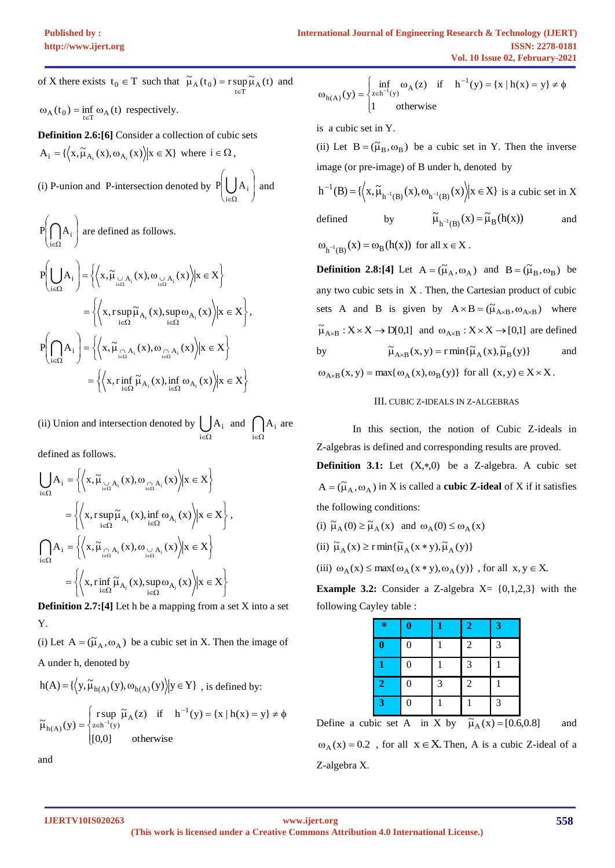of X there exists  $t_0 \in T$  such that  $\tilde{\mu}_A(t_0) = r \sup_{t \in T} \tilde{\mu}_A(t)$ and  $\omega_A(t_0) = \inf_{t \in T} \omega_A(t)$  respectively.

**Definition 2.6:[6]** Consider a collection of cubic sets  $A_i = \{ \langle x, \tilde{\mu}_{A_i}(x), \omega_{A_i}(x) \rangle | x \in X \}$  where  $i \in \Omega$ ,

(i) P-union and P-intersection denoted by  $P\left(\bigcup_{i} A_i\right)$  $\overline{\phantom{a}}$ Ι  $\overline{\phantom{a}}$ I L V  $P\left(\bigcup A_i\right)$  and  $\epsilon\Omega$ i

$$
P\left(\bigcap_{i\in\Omega} A_i\right) \text{ are defined as follows.}
$$
\n
$$
P\left(\bigcup_{i\in\Omega} A_i\right) = \left\{ \left\langle x, \widetilde{\mu}_{\bigcup_{i\in\Omega} A_i}(x), \omega_{\bigcup_{i\in\Omega} A_i}(x) \right\rangle | x \in X \right\}
$$
\n
$$
= \left\{ \left\langle x, r \sup_{i\in\Omega} \widetilde{\mu}_{A_i}(x), \sup_{i\in\Omega} \omega_{A_i}(x) \right\rangle | x \in X \right\},
$$
\n
$$
P\left(\bigcap_{i\in\Omega} A_i\right) = \left\{ \left\langle x, \widetilde{\mu}_{\bigcap_{i\in\Omega} A_i}(x), \omega_{\bigcap_{i\in\Omega} A_i}(x) \right\rangle | x \in X \right\}
$$
\n
$$
= \left\{ \left\langle x, r \inf_{i\in\Omega} \widetilde{\mu}_{A_i}(x), \inf_{i\in\Omega} \omega_{A_i}(x) \right\rangle | x \in X \right\}
$$

(ii) Union and intersection denoted by  $\bigcup_{i \in \Omega}$  $A_i$  and  $\bigcap_{i \in \Omega}$  $A_i$  are

defined as follows.

$$
\bigcup_{i \in \Omega} A_i = \left\{ \left\langle x, \widetilde{\mu}_{\bigcup_{i \in \Omega} A_i}(x), \omega_{\bigcap_{i \in \Omega} A_i}(x) \right\rangle | x \in X \right\}
$$

$$
= \left\{ \left\langle x, r \sup_{i \in \Omega} \widetilde{\mu}_{A_i}(x), \inf_{i \in \Omega} \omega_{A_i}(x) \right\rangle | x \in X \right\},
$$

$$
\bigcap_{i \in \Omega} A_i = \left\{ \left\langle x, \widetilde{\mu}_{\bigcap_{i \in \Omega} A_i}(x), \omega_{\bigcup_{i \in \Omega} A_i}(x) \right\rangle | x \in X \right\}
$$

$$
= \left\{ \left\langle x, r \inf_{i \in \Omega} \widetilde{\mu}_{A_i}(x), \sup_{i \in \Omega} \omega_{A_i}(x) \right\rangle | x \in X \right\}
$$

**Definition 2.7:**[4] Let h be a mapping from a set X into a set Y.

(i) Let  $A = (\tilde{\mu}_A, \omega_A)$  be a cubic set in X. Then the image of A under h, denoted by

$$
h(A) = \{ \langle y, \widetilde{\mu}_{h(A)}(y), \omega_{h(A)}(y) \rangle | y \in Y \} , \text{ is defined by:}
$$

$$
\widetilde{\mu}_{h(A)}(y) = \begin{cases} \text{r sup } \widetilde{\mu}_A(z) & \text{if } h^{-1}(y) = \{x \mid h(x) = y\} \neq \emptyset \\ [0,0] & \text{otherwise} \end{cases}
$$

and

$$
\omega_{h(A)}(y) = \begin{cases} \inf_{z \in h^{-1}(y)} \omega_A(z) & \text{if } h^{-1}(y) = \{x \mid h(x) = y\} \neq \emptyset \\ 1 & \text{otherwise} \end{cases}
$$

is a cubic set in Y.

(ii) Let  $B = (\tilde{\mu}_B, \omega_B)$  be a cubic set in Y. Then the inverse image (or pre-image) of B under h, denoted by

$$
h^{-1}(B) = \{ \left\langle x, \widetilde{\mu}_{h^{-1}(B)}(x), \omega_{h^{-1}(B)}(x) \right\rangle | x \in X \} \text{ is a cubic set in } X
$$

defined by  $\widetilde{\mu}_{h^{-1}(B)}(x) = \widetilde{\mu}_{B}(h(x))$ and

 $\omega_{h^{-1}(B)}(x) = \omega_B(h(x))$  for all  $x \in X$ .

**Definition 2.8:[4]** Let  $A = (\tilde{\mu}_A, \omega_A)$  and  $B = (\tilde{\mu}_B, \omega_B)$  be any two cubic sets in X . Then, the Cartesian product of cubic sets A and B is given by  $A \times B = (\tilde{\mu}_{A \times B}, \omega_{A \times B})$  where  $\widetilde{\mu}_{A\times B}: X \times X \to D[0,1]$  and  $\omega_{A\times B}: X \times X \to [0,1]$  are defined by  $\widetilde{\mu}_{A\times B}(x, y) = r \min{\{\widetilde{\mu}_{A}(x), \widetilde{\mu}_{B}(y)\}}$ and  $\omega_{A\times B}(x, y) = \max{\{\omega_A(x), \omega_B(y)\}}$  for all  $(x, y) \in X \times X$ .

## III. CUBIC Z-IDEALS IN Z-ALGEBRAS

 In this section, the notion of Cubic Z-ideals in Z-algebras is defined and corresponding results are proved. **Definition 3.1:** Let  $(X, *0)$  be a Z-algebra. A cubic set  $A = (\tilde{\mu}_A, \omega_A)$  in X is called a **cubic** Z-ideal of X if it satisfies the following conditions:

(i)  $\tilde{\mu}_A(0) \ge \tilde{\mu}_A(x)$  and  $\omega_A(0) \le \omega_A(x)$ 

(ii)  $\widetilde{\mu}_{A}(x) \ge r \min{\{\widetilde{\mu}_{A}(x * y), \widetilde{\mu}_{A}(y)\}}$ 

(iii)  $\omega_A(x) \le \max\{\omega_A(x * y), \omega_A(y)\}$ , for all  $x, y \in X$ .

**Example 3.2:** Consider a Z-algebra  $X = \{0,1,2,3\}$  with the following Cayley table :

| $\ast$                  | $\bf{0}$         |   | $\mathbf{2}$   | 3 |
|-------------------------|------------------|---|----------------|---|
| $\bf{0}$                | $\overline{0}$   |   | $\overline{2}$ | 3 |
| 1                       | $\boldsymbol{0}$ |   | 3              |   |
| $\overline{2}$          | 0                | 3 | $\overline{2}$ |   |
| $\overline{\mathbf{3}}$ | 0                |   |                | 3 |

Define a cubic set A in X by  $\tilde{\mu}_A(x) = [0.6, 0.8]$  and

 $\omega_A(x) = 0.2$ , for all  $x \in X$ . Then, A is a cubic Z-ideal of a Z-algebra X.

**IJERTV10IS020263**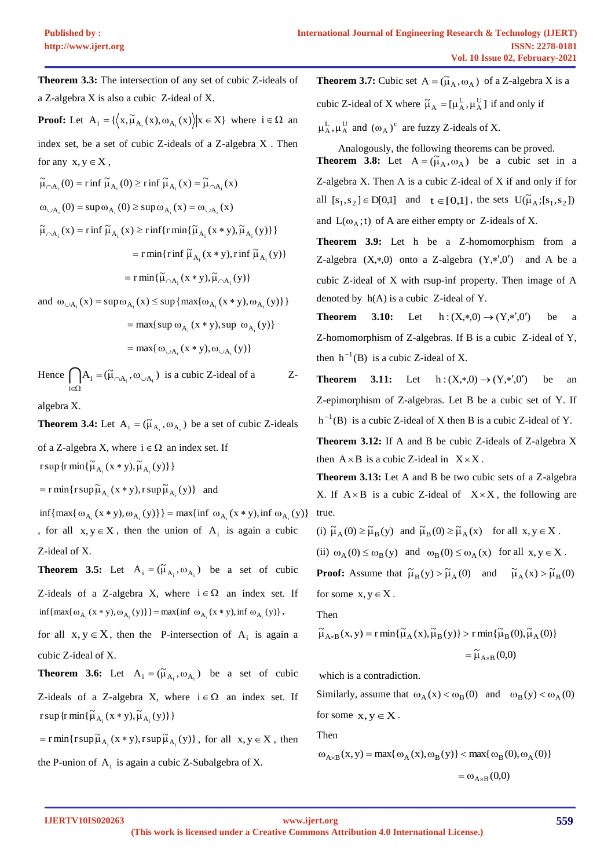**Theorem 3.3:** The intersection of any set of cubic Z-ideals of a Z-algebra X is also a cubic Z-ideal of X. **Proof:** Let  $A_i = \{ (x, \tilde{\mu}_{A_i}(x), \omega_{A_i}(x)) | x \in X \}$  where  $i \in \Omega$  an index set, be a set of cubic Z-ideals of a Z-algebra X . Then for any  $x, y \in X$ ,  $\tilde{\mu}_{\cap A_i}(0) = r \inf \tilde{\mu}_{A_i}(0) \ge r \inf \tilde{\mu}_{A_i}(x) = \tilde{\mu}_{\cap A_i}(x)$  $\omega_{\text{A}_i}(0) = \sup \omega_{\text{A}_i}(0) \geq \sup \omega_{\text{A}_i}(x) = \omega_{\text{A}_i}(x)$ 

- $\widetilde{\mu}_{\cap A_i}(x) = r \inf \widetilde{\mu}_{A_i}(x) \geq r \inf \{ r \min \{ \widetilde{\mu}_{A_i}(x * y), \widetilde{\mu}_{A_i}(y) \} \}$  $=$  r min{r inf  $\widetilde{\mu}_{A_i}(x * y)$ , r inf  $\widetilde{\mu}_{A_i}(y)$ }  $=$  r min $\{\widetilde{\mu}_{\cap A_i}(x * y), \widetilde{\mu}_{\cap A_i}(y)\}$
- and  $\omega_{\cup A_i}(x) = \sup \omega_{A_i}(x) \leq \sup \{ \max \{ \omega_{A_i}(x * y), \omega_{A_i}(y) \} \}$

$$
= \max\{\sup \omega_{A_i}(x * y), \sup \omega_{A_i}(y)\}\
$$

$$
= \max\{\omega_{\cup A_i}(x * y), \omega_{\cup A_i}(y)\}\
$$

Hence  $\bigcap A_i = (\widetilde{\mu}_{\cap A_i}, \omega_{\cup A_i})$  is a cubic Z-ideal of a Zi  $\in \Omega$ 

algebra X.

**Theorem 3.4:** Let  $A_i = (\tilde{\mu}_{A_i}, \omega_{A_i})$  be a set of cubic Z-ideals

of a Z-algebra X, where  $i \in \Omega$  an index set. If r sup {r min{ $\tilde{\mu}_{A_i}$  (x \* y),  $\tilde{\mu}_{A_i}$  (y)}}

 $=$  r min{r sup  $\widetilde{\mu}_{A_i}(x * y)$ , r sup  $\widetilde{\mu}_{A_i}(y)$ } and

 $\inf \{ \max \{ \omega_{A_i}(x * y), \omega_{A_i}(y) \} \} = \max \{ \inf \omega_{A_i}(x * y), \inf \omega_{A_i}(y) \}$ , for all  $x, y \in X$ , then the union of  $A_i$  is again a cubic Z-ideal of X.

**Theorem 3.5:** Let  $A_i = (\tilde{\mu}_{A_i}, \omega_{A_i})$  be a set of cubic Z-ideals of a Z-algebra X, where  $i \in \Omega$  an index set. If  $\inf\{\max\{\omega_{A_i}(x*y),\omega_{A_i}(y)\}\} = \max\{\inf \omega_{A_i}(x*y),\inf \omega_{A_i}(y)\},$ 

for all  $x, y \in X$ , then the P-intersection of  $A_i$  is again a cubic Z-ideal of X.

**Theorem 3.6:** Let  $A_i = (\tilde{\mu}_{A_i}, \omega_{A_i})$  be a set of cubic Z-ideals of a Z-algebra X, where  $i \in \Omega$  an index set. If r sup {r min{ $\tilde{\mu}_{A_i}$  (x \* y),  $\tilde{\mu}_{A_i}$  (y)}}

 $=$  r min{r sup  $\widetilde{\mu}_{A_i}(x * y)$ , r sup  $\widetilde{\mu}_{A_i}(y)$ }, for all  $x, y \in X$ , then the P-union of  $A_i$  is again a cubic Z-Subalgebra of X.

**Theorem 3.7:** Cubic set  $A = (\tilde{\mu}_A, \omega_A)$  of a Z-algebra X is a cubic Z-ideal of X where  $\tilde{\mu}_A = [\mu_A^L, \mu_A^U]$  if and only if

 $\mu_{A}^{L}, \mu_{A}^{U}$  and  $(\omega_{A})^{c}$  are fuzzy Z-ideals of X.

Analogously, the following theorems can be proved. **Theorem 3.8:** Let  $A = (\tilde{\mu}_A, \omega_A)$  be a cubic set in a Z-algebra X. Then A is a cubic Z-ideal of X if and only if for all  $[s_1, s_2] \in D[0,1]$  and  $t \in [0,1]$ , the sets  $U(\tilde{\mu}_A; [s_1, s_2])$ and  $L(\omega_A; t)$  of A are either empty or Z-ideals of X.

**Theorem 3.9:** Let h be a Z-homomorphism from a Z-algebra  $(X, *0)$  onto a Z-algebra  $(Y, *', 0')$  and A be a cubic Z-ideal of X with rsup-inf property. Then image of A denoted by  $h(A)$  is a cubic Z-ideal of Y.

**Theorem** 3.10: Let  $h: (X, *0) \to (Y, *', 0')$ be a Z-homomorphism of Z-algebras. If B is a cubic Z-ideal of Y, then  $h^{-1}(B)$  is a cubic Z-ideal of X.

**Theorem 3.11:** Let  $h: (X,*,0) \to (Y,*,0')$ be an Z-epimorphism of Z-algebras. Let B be a cubic set of Y. If  $h^{-1}(B)$  is a cubic Z-ideal of X then B is a cubic Z-ideal of Y.

**Theorem 3.12:** If A and B be cubic Z-ideals of Z-algebra X then  $A \times B$  is a cubic Z-ideal in  $X \times X$ .

**Theorem 3.13:** Let A and B be two cubic sets of a Z-algebra X. If  $A \times B$  is a cubic Z-ideal of  $X \times X$ , the following are true.

(i) 
$$
\tilde{\mu}_A(0) \ge \tilde{\mu}_B(y)
$$
 and  $\tilde{\mu}_B(0) \ge \tilde{\mu}_A(x)$  for all  $x, y \in X$ .

(ii)  $\omega_A(0) \leq \omega_B(y)$  and  $\omega_B(0) \leq \omega_A(x)$  for all  $x, y \in X$ .

**Proof:** Assume that  $\tilde{\mu}_B(y) > \tilde{\mu}_A(0)$  and  $\tilde{\mu}_A(x) > \tilde{\mu}_B(0)$ for some  $x, y \in X$ .

Then

$$
\widetilde{\mu}_{A \times B}(x, y) = r \min\{\widetilde{\mu}_{A}(x), \widetilde{\mu}_{B}(y)\} > r \min\{\widetilde{\mu}_{B}(0), \widetilde{\mu}_{A}(0)\}
$$

$$
= \widetilde{\mu}_{A \times B}(0,0)
$$

which is a contradiction.

Similarly, assume that  $\omega_A(x) < \omega_B(0)$  and  $\omega_B(y) < \omega_A(0)$ for some  $x, y \in X$ .

Then

$$
\omega_{A\times B}(x, y) = \max\{\omega_A(x), \omega_B(y)\} < \max\{\omega_B(0), \omega_A(0)\}
$$

 $=\omega_{A\times B}(0,0)$